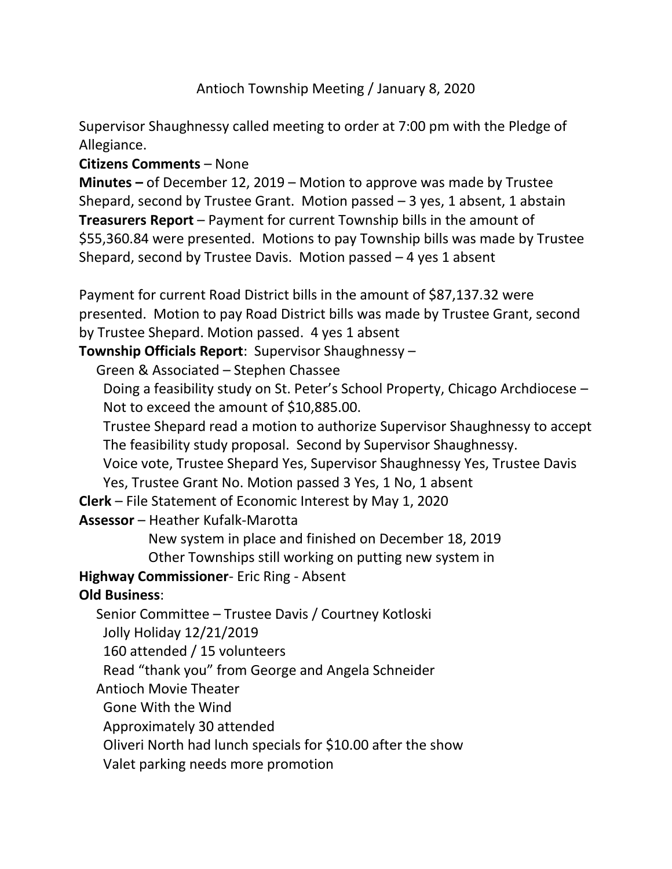Antioch Township Meeting / January 8, 2020

Supervisor Shaughnessy called meeting to order at 7:00 pm with the Pledge of Allegiance.

## **Citizens Comments** – None

**Minutes –** of December 12, 2019 – Motion to approve was made by Trustee Shepard, second by Trustee Grant. Motion passed  $-3$  yes, 1 absent, 1 abstain **Treasurers Report** – Payment for current Township bills in the amount of \$55,360.84 were presented. Motions to pay Township bills was made by Trustee Shepard, second by Trustee Davis. Motion passed  $-4$  yes 1 absent

Payment for current Road District bills in the amount of \$87,137.32 were presented. Motion to pay Road District bills was made by Trustee Grant, second by Trustee Shepard. Motion passed. 4 yes 1 absent

**Township Officials Report**: Supervisor Shaughnessy –

Green & Associated – Stephen Chassee

 Doing a feasibility study on St. Peter's School Property, Chicago Archdiocese – Not to exceed the amount of \$10,885.00.

 Trustee Shepard read a motion to authorize Supervisor Shaughnessy to accept The feasibility study proposal. Second by Supervisor Shaughnessy.

 Voice vote, Trustee Shepard Yes, Supervisor Shaughnessy Yes, Trustee Davis Yes, Trustee Grant No. Motion passed 3 Yes, 1 No, 1 absent

**Clerk** – File Statement of Economic Interest by May 1, 2020

**Assessor** – Heather Kufalk-Marotta

 New system in place and finished on December 18, 2019 Other Townships still working on putting new system in

**Highway Commissioner**- Eric Ring - Absent

## **Old Business**:

 Senior Committee – Trustee Davis / Courtney Kotloski Jolly Holiday 12/21/2019

160 attended / 15 volunteers

Read "thank you" from George and Angela Schneider

Antioch Movie Theater

Gone With the Wind

Approximately 30 attended

Oliveri North had lunch specials for \$10.00 after the show

Valet parking needs more promotion